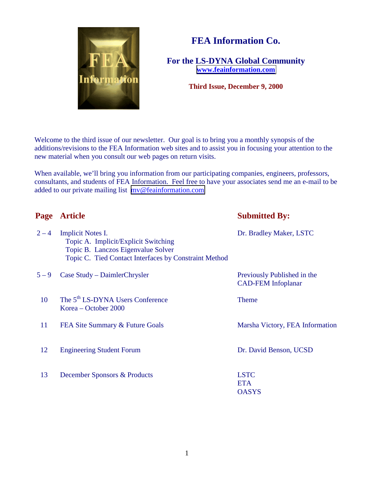

# **FEA Information Co.**

**For the LS-DYNA Global Community [www.feainformation.com](http://www.feainformation.com/)**

**Third Issue, December 9, 2000**

Welcome to the third issue of our newsletter. Our goal is to bring you a monthly synopsis of the additions/revisions to the FEA Information web sites and to assist you in focusing your attention to the new material when you consult our web pages on return visits.

When available, we'll bring you information from our participating companies, engineers, professors, consultants, and students of FEA Information. Feel free to have your associates send me an e-mail to be added to our private mailing list [mv@feainformation.com](mailto:mv@feainformation.com)

| Page    | <b>Article</b>                                                                                                                                                  | <b>Submitted By:</b>                                     |
|---------|-----------------------------------------------------------------------------------------------------------------------------------------------------------------|----------------------------------------------------------|
| $2 - 4$ | <b>Implicit Notes I.</b><br>Topic A. Implicit/Explicit Switching<br>Topic B. Lanczos Eigenvalue Solver<br>Topic C. Tied Contact Interfaces by Constraint Method | Dr. Bradley Maker, LSTC                                  |
| $5 - 9$ | Case Study – DaimlerChrysler                                                                                                                                    | Previously Published in the<br><b>CAD-FEM</b> Infoplanar |
| 10      | The 5 <sup>th</sup> LS-DYNA Users Conference<br>Korea – October 2000                                                                                            | <b>Theme</b>                                             |
| 11      | FEA Site Summary & Future Goals                                                                                                                                 | Marsha Victory, FEA Information                          |
| 12      | <b>Engineering Student Forum</b>                                                                                                                                | Dr. David Benson, UCSD                                   |
| 13      | December Sponsors & Products                                                                                                                                    | <b>LSTC</b><br><b>ETA</b><br><b>OASYS</b>                |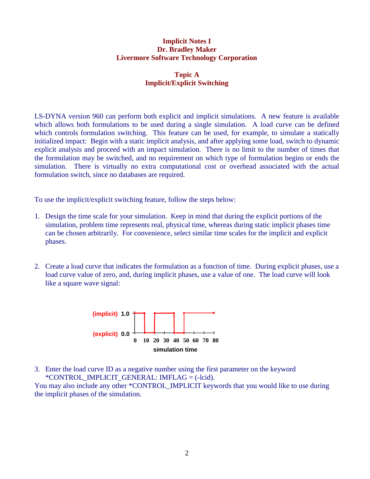### **Implicit Notes I Dr. Bradley Maker Livermore Software Technology Corporation**

## **Topic A Implicit/Explicit Switching**

LS-DYNA version 960 can perform both explicit and implicit simulations. A new feature is available which allows both formulations to be used during a single simulation. A load curve can be defined which controls formulation switching. This feature can be used, for example, to simulate a statically initialized impact: Begin with a static implicit analysis, and after applying some load, switch to dynamic explicit analysis and proceed with an impact simulation. There is no limit to the number of times that the formulation may be switched, and no requirement on which type of formulation begins or ends the simulation. There is virtually no extra computational cost or overhead associated with the actual formulation switch, since no databases are required.

To use the implicit/explicit switching feature, follow the steps below:

- 1. Design the time scale for your simulation. Keep in mind that during the explicit portions of the simulation, problem time represents real, physical time, whereas during static implicit phases time can be chosen arbitrarily. For convenience, select similar time scales for the implicit and explicit phases.
- 2. Create a load curve that indicates the formulation as a function of time. During explicit phases, use a load curve value of zero, and, during implicit phases, use a value of one. The load curve will look like a square wave signal:



3. Enter the load curve ID as a negative number using the first parameter on the keyword \*CONTROL\_IMPLICIT\_GENERAL: IMFLAG = (-lcid).

You may also include any other \*CONTROL\_IMPLICIT keywords that you would like to use during the implicit phases of the simulation.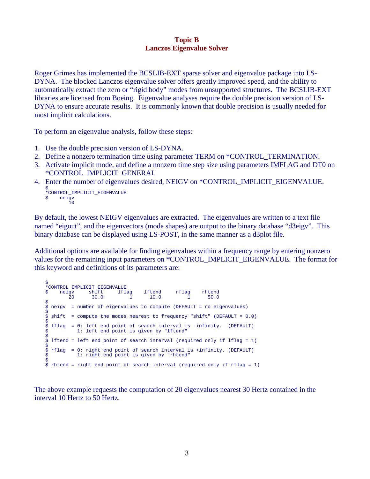### **Topic B Lanczos Eigenvalue Solver**

Roger Grimes has implemented the BCSLIB-EXT sparse solver and eigenvalue package into LS-DYNA. The blocked Lanczos eigenvalue solver offers greatly improved speed, and the ability to automatically extract the zero or "rigid body" modes from unsupported structures. The BCSLIB-EXT libraries are licensed from Boeing. Eigenvalue analyses require the double precision version of LS-DYNA to ensure accurate results. It is commonly known that double precision is usually needed for most implicit calculations.

To perform an eigenvalue analysis, follow these steps:

- 1. Use the double precision version of LS-DYNA.
- 2. Define a nonzero termination time using parameter TERM on \*CONTROL\_TERMINATION.
- 3. Activate implicit mode, and define a nonzero time step size using parameters IMFLAG and DT0 on \*CONTROL\_IMPLICIT\_GENERAL
- 4. Enter the number of eigenvalues desired, NEIGV on \*CONTROL\_IMPLICIT\_EIGENVALUE.

\$ \*CONTROL\_IMPLICIT\_EIGENVALUE \$ neigv  $10$ 

By default, the lowest NEIGV eigenvalues are extracted. The eigenvalues are written to a text file named "eigout", and the eigenvectors (mode shapes) are output to the binary database "d3eigv". This binary database can be displayed using LS-POST, in the same manner as a d3plot file.

Additional options are available for finding eigenvalues within a frequency range by entering nonzero values for the remaining input parameters on \*CONTROL\_IMPLICIT\_EIGENVALUE. The format for this keyword and definitions of its parameters are:

```
\mathsf{\hat{S}}*CONTROL_IMPLICIT_EIGENVALUE
  neigv shift lflag lftend rflag rhtend<br>20 30.0 1 10.0 1 50.0
        20 30.0 1 10.0 1 50.0
$
$ neigv = number of eigenvalues to compute (DEFAULT = no eigenvalues)
$
$ shift = compute the modes nearest to frequency "shift" (DEFAULT = 0.0)
$
$ lflag = 0: left end point of search interval is -infinity. (DEFAULT)
$ 1: left end point is given by "lftend"
$
\dot{S} lftend = left end point of search interval (required only if lflag = 1)
\ddot{\phantom{a}}$ rflag = 0: right end point of search interval is +infinity. (DEFAULT)
$ 1: right end point is given by "rhtend"
$
$ rhtend = right end point of search interval (required only if rflag = 1)
```
The above example requests the computation of 20 eigenvalues nearest 30 Hertz contained in the interval 10 Hertz to 50 Hertz.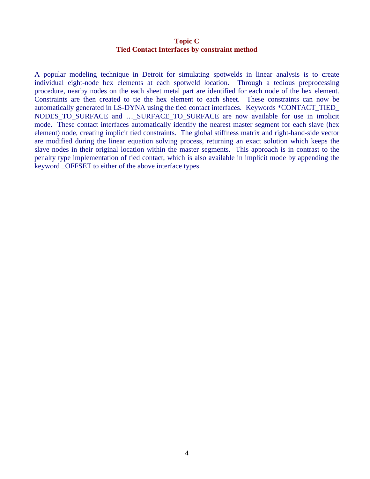### **Topic C Tied Contact Interfaces by constraint method**

A popular modeling technique in Detroit for simulating spotwelds in linear analysis is to create individual eight-node hex elements at each spotweld location. Through a tedious preprocessing procedure, nearby nodes on the each sheet metal part are identified for each node of the hex element. Constraints are then created to tie the hex element to each sheet. These constraints can now be automatically generated in LS-DYNA using the tied contact interfaces. Keywords \*CONTACT\_TIED\_ NODES\_TO\_SURFACE and …\_SURFACE\_TO\_SURFACE are now available for use in implicit mode. These contact interfaces automatically identify the nearest master segment for each slave (hex element) node, creating implicit tied constraints. The global stiffness matrix and right-hand-side vector are modified during the linear equation solving process, returning an exact solution which keeps the slave nodes in their original location within the master segments. This approach is in contrast to the penalty type implementation of tied contact, which is also available in implicit mode by appending the keyword \_OFFSET to either of the above interface types.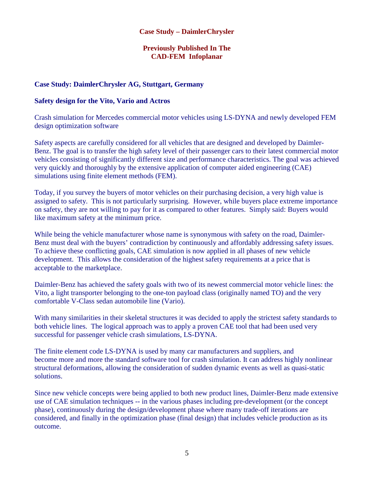### **Case Study – DaimlerChrysler**

## **Previously Published In The CAD-FEM Infoplanar**

### **Case Study: DaimlerChrysler AG, Stuttgart, Germany**

### **Safety design for the Vito, Vario and Actros**

Crash simulation for Mercedes commercial motor vehicles using LS-DYNA and newly developed FEM design optimization software

Safety aspects are carefully considered for all vehicles that are designed and developed by Daimler-Benz. The goal is to transfer the high safety level of their passenger cars to their latest commercial motor vehicles consisting of significantly different size and performance characteristics. The goal was achieved very quickly and thoroughly by the extensive application of computer aided engineering (CAE) simulations using finite element methods (FEM).

Today, if you survey the buyers of motor vehicles on their purchasing decision, a very high value is assigned to safety. This is not particularly surprising. However, while buyers place extreme importance on safety, they are not willing to pay for it as compared to other features. Simply said: Buyers would like maximum safety at the minimum price.

While being the vehicle manufacturer whose name is synonymous with safety on the road, Daimler-Benz must deal with the buyers' contradiction by continuously and affordably addressing safety issues. To achieve these conflicting goals, CAE simulation is now applied in all phases of new vehicle development. This allows the consideration of the highest safety requirements at a price that is acceptable to the marketplace.

Daimler-Benz has achieved the safety goals with two of its newest commercial motor vehicle lines: the Vito, a light transporter belonging to the one-ton payload class (originally named TO) and the very comfortable V-Class sedan automobile line (Vario).

With many similarities in their skeletal structures it was decided to apply the strictest safety standards to both vehicle lines. The logical approach was to apply a proven CAE tool that had been used very successful for passenger vehicle crash simulations, LS-DYNA.

The finite element code LS-DYNA is used by many car manufacturers and suppliers, and become more and more the standard software tool for crash simulation. It can address highly nonlinear structural deformations, allowing the consideration of sudden dynamic events as well as quasi-static solutions.

Since new vehicle concepts were being applied to both new product lines, Daimler-Benz made extensive use of CAE simulation techniques -- in the various phases including pre-development (or the concept phase), continuously during the design/development phase where many trade-off iterations are considered, and finally in the optimization phase (final design) that includes vehicle production as its outcome.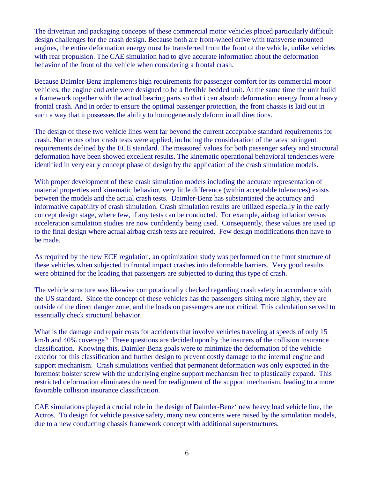The drivetrain and packaging concepts of these commercial motor vehicles placed particularly difficult design challenges for the crash design. Because both are front-wheel drive with transverse mounted engines, the entire deformation energy must be transferred from the front of the vehicle, unlike vehicles with rear propulsion. The CAE simulation had to give accurate information about the deformation behavior of the front of the vehicle when considering a frontal crash.

Because Daimler-Benz implements high requirements for passenger comfort for its commercial motor vehicles, the engine and axle were designed to be a flexible bedded unit. At the same time the unit build a framework together with the actual bearing parts so that i can absorb deformation energy from a heavy frontal crash. And in order to ensure the optimal passenger protection, the front chassis is laid out in such a way that it possesses the ability to homogeneously deform in all directions.

The design of these two vehicle lines went far beyond the current acceptable standard requirements for crash. Numerous other crash tests were applied, including the consideration of the latest stringent requirements defined by the ECE standard. The measured values for both passenger safety and structural deformation have been showed excellent results. The kinematic operational behavioral tendencies were identified in very early concept phase of design by the application of the crash simulation models.

With proper development of these crash simulation models including the accurate representation of material properties and kinematic behavior, very little difference (within acceptable tolerances) exists between the models and the actual crash tests. Daimler-Benz has substantiated the accuracy and informative capability of crash simulation. Crash simulation results are utilized especially in the early concept design stage, where few, if any tests can be conducted. For example, airbag inflation versus acceleration simulation studies are now confidently being used. Consequently, these values are used up to the final design where actual airbag crash tests are required. Few design modifications then have to be made.

As required by the new ECE regulation, an optimization study was performed on the front structure of these vehicles when subjected to frontal impact crashes into deformable barriers. Very good results were obtained for the loading that passengers are subjected to during this type of crash.

The vehicle structure was likewise computationally checked regarding crash safety in accordance with the US standard. Since the concept of these vehicles has the passengers sitting more highly, they are outside of the direct danger zone, and the loads on passengers are not critical. This calculation served to essentially check structural behavior.

What is the damage and repair costs for accidents that involve vehicles traveling at speeds of only 15 km/h and 40% coverage? These questions are decided upon by the insurers of the collision insurance classification. Knowing this, Daimler-Benz goals were to minimize the deformation of the vehicle exterior for this classification and further design to prevent costly damage to the internal engine and support mechanism. Crash simulations verified that permanent deformation was only expected in the foremost bolster screw with the underlying engine support mechanism free to plastically expand. This restricted deformation eliminates the need for realignment of the support mechanism, leading to a more favorable collision insurance classification.

CAE simulations played a crucial role in the design of Daimler-Benz' new heavy load vehicle line, the Actros. To design for vehicle passive safety, many new concerns were raised by the simulation models, due to a new conducting chassis framework concept with additional superstructures.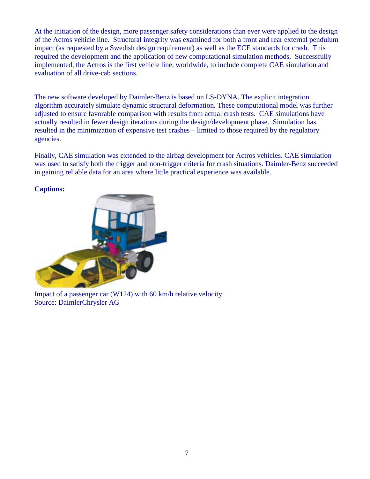At the initiation of the design, more passenger safety considerations than ever were applied to the design of the Actros vehicle line. Structural integrity was examined for both a front and rear external pendulum impact (as requested by a Swedish design requirement) as well as the ECE standards for crash. This required the development and the application of new computational simulation methods. Successfully implemented, the Actros is the first vehicle line, worldwide, to include complete CAE simulation and evaluation of all drive-cab sections.

The new software developed by Daimler-Benz is based on LS-DYNA. The explicit integration algorithm accurately simulate dynamic structural deformation. These computational model was further adjusted to ensure favorable comparison with results from actual crash tests. CAE simulations have actually resulted in fewer design iterations during the design/development phase. Simulation has resulted in the minimization of expensive test crashes – limited to those required by the regulatory agencies.

Finally, CAE simulation was extended to the airbag development for Actros vehicles. CAE simulation was used to satisfy both the trigger and non-trigger criteria for crash situations. Daimler-Benz succeeded in gaining reliable data for an area where little practical experience was available.

### **Captions:**



Impact of a passenger car (W124) with 60 km/h relative velocity. Source: DaimlerChrysler AG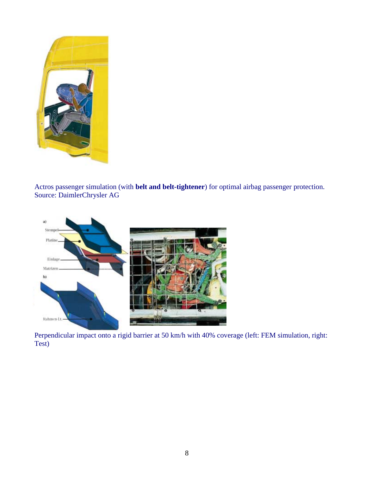

Actros passenger simulation (with **belt and belt-tightener**) for optimal airbag passenger protection. Source: DaimlerChrysler AG



Perpendicular impact onto a rigid barrier at 50 km/h with 40% coverage (left: FEM simulation, right: Test)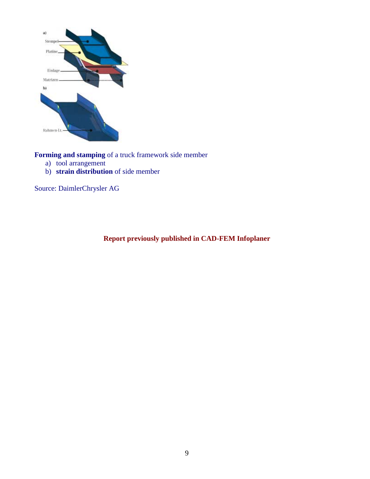

**Forming and stamping** of a truck framework side member

- a) tool arrangement
- b) **strain distribution** of side member

Source: DaimlerChrysler AG

**Report previously published in CAD-FEM Infoplaner**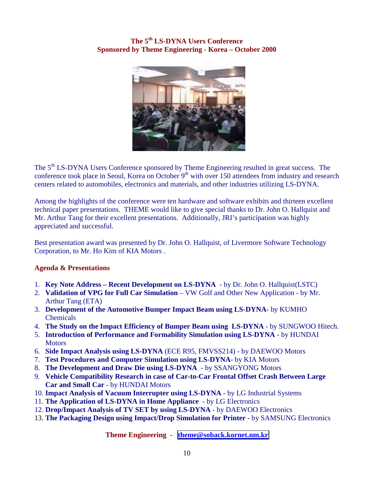## **The 5th LS-DYNA Users Conference Sponsored by Theme Engineering - Korea – October 2000**



The 5<sup>th</sup> LS-DYNA Users Conference sponsored by Theme Engineering resulted in great success. The conference took place in Seoul, Korea on October  $9<sup>th</sup>$  with over 150 attendees from industry and research centers related to automobiles, electronics and materials, and other industries utilizing LS-DYNA.

Among the highlights of the conference were ten hardware and software exhibits and thirteen excellent technical paper presentations. THEME would like to give special thanks to Dr. John O. Hallquist and Mr. Arthur Tang for their excellent presentations. Additionally, JRI's participation was highly appreciated and successful.

Best presentation award was presented by Dr. John O. Hallquist, of Livermore Software Technology Corporation, to Mr. Ho Kim of KIA Motors .

## **Agenda & Presentations**

- 1. **Key Note Address Recent Development on LS-DYNA** by Dr. John O. Hallquist(LSTC)
- 2. **Validation of VPG for Full Car Simulation** VW Golf and Other New Application by Mr. Arthur Tang (ETA)
- 3. **Development of the Automotive Bumper Impact Beam using LS-DYNA** by KUMHO Chemicals
- 4. **The Study on the Impact Efficiency of Bumper Beam using LS-DYNA** by SUNGWOO Hitech.
- 5. **Introduction of Performance and Formability Simulation using LS-DYNA** by HUNDAI **Motors**
- 6. **Side Impact Analysis using LS-DYNA** (ECE R95, FMVSS214) by DAEWOO Motors
- 7. **Test Procedures and Computer Simulation using LS-DYNA** by KIA Motors
- 8. **The Development and Draw Die using LS-DYNA** by SSANGYONG Motors
- 9. **Vehicle Compatibility Research in case of Car-to-Car Frontal Offset Crash Between Large Car and Small Car** - by HUNDAI Motors
- 10. **Impact Analysis of Vacuum Interrupter using LS-DYNA** by LG Industrial Systems
- 11. **The Application of LS-DYNA in Home Appliance** by LG Electronics
- 12. **Drop/Impact Analysis of TV SET by using LS-DYNA** by DAEWOO Electronics
- 13. **The Packaging Design using Impact/Drop Simulation for Printer** by SAMSUNG Electronics

**Theme Engineering - [theme@soback.kornet.nm.kr](mailto:theme@soback.kornet.nm.kr)**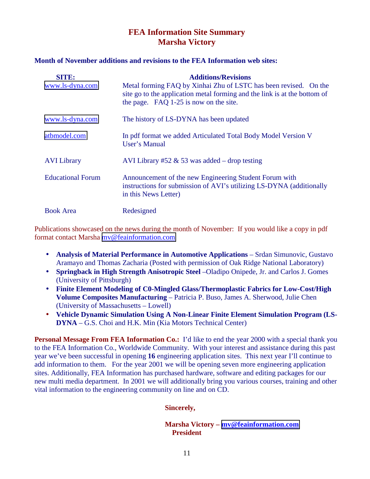## **FEA Information Site Summary Marsha Victory**

### **Month of November additions and revisions to the FEA Information web sites:**

| <b>SITE:</b><br>www.ls-dyna.com | <b>Additions/Revisions</b><br>Metal forming FAQ by Xinhai Zhu of LSTC has been revised. On the<br>site go to the application metal forming and the link is at the bottom of<br>the page. FAQ 1-25 is now on the site. |
|---------------------------------|-----------------------------------------------------------------------------------------------------------------------------------------------------------------------------------------------------------------------|
| www.ls-dyna.com                 | The history of LS-DYNA has been updated                                                                                                                                                                               |
| atbmodel.com                    | In pdf format we added Articulated Total Body Model Version V<br>User's Manual                                                                                                                                        |
| <b>AVI</b> Library              | AVI Library #52 & 53 was added – drop testing                                                                                                                                                                         |
| <b>Educational Forum</b>        | Announcement of the new Engineering Student Forum with<br>instructions for submission of AVI's utilizing LS-DYNA (additionally<br>in this News Letter)                                                                |
| <b>Book Area</b>                | Redesigned                                                                                                                                                                                                            |

Publications showcased on the news during the month of November: If you would like a copy in pdf format contact Marsha [mv@feainformation.com](mailto:mv@feainformation.com)

- **Analysis of Material Performance in Automotive Applications** Srdan Simunovic, Gustavo Aramayo and Thomas Zacharia (Posted with permission of Oak Ridge National Laboratory)
- **Springback in High Strength Anisotropic Steel** –Oladipo Onipede, Jr. and Carlos J. Gomes (University of Pittsburgh)
- **Finite Element Modeling of C0-Mingled Glass/Thermoplastic Fabrics for Low-Cost/High Volume Composites Manufacturing** – Patricia P. Buso, James A. Sherwood, Julie Chen (University of Massachusetts – Lowell)
- **Vehicle Dynamic Simulation Using A Non-Linear Finite Element Simulation Program (LS-DYNA** – G.S. Choi and H.K. Min (Kia Motors Technical Center)

**Personal Message From FEA Information Co.:** I'd like to end the year 2000 with a special thank you to the FEA Information Co., Worldwide Community. With your interest and assistance during this past year we've been successful in opening **16** engineering application sites. This next year I'll continue to add information to them. For the year 2001 we will be opening seven more engineering application sites. Additionally, FEA Information has purchased hardware, software and editing packages for our new multi media department. In 2001 we will additionally bring you various courses, training and other vital information to the engineering community on line and on CD.

## **Sincerely,**

**Marsha Victory – [mv@feainformation.com](mailto:mv@feainformation.com) President**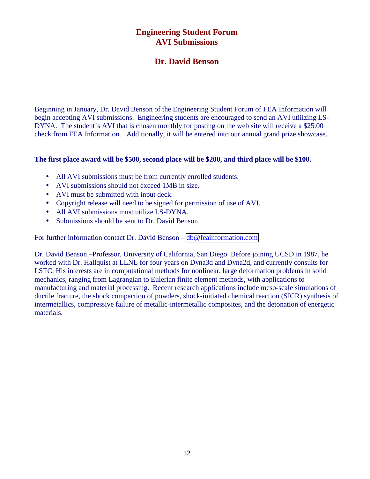## **Engineering Student Forum AVI Submissions**

## **Dr. David Benson**

Beginning in January, Dr. David Benson of the Engineering Student Forum of FEA Information will begin accepting AVI submissions. Engineering students are encouraged to send an AVI utilizing LS-DYNA. The student's AVI that is chosen monthly for posting on the web site will receive a \$25.00 check from FEA Information. Additionally, it will be entered into our annual grand prize showcase.

### **The first place award will be \$500, second place will be \$200, and third place will be \$100.**

- All AVI submissions must be from currently enrolled students.
- AVI submissions should not exceed 1MB in size.
- AVI must be submitted with input deck.
- Copyright release will need to be signed for permission of use of AVI.
- All AVI submissions must utilize LS-DYNA.
- Submissions should be sent to Dr. David Benson

For further information contact Dr. David Benson – [db@feainformation.com](mailto:db@feainformation.com)

Dr. David Benson –Professor, University of California, San Diego. Before joining UCSD in 1987, he worked with Dr. Hallquist at LLNL for four years on Dyna3d and Dyna2d, and currently consults for LSTC. His interests are in computational methods for nonlinear, large deformation problems in solid mechanics, ranging from Lagrangian to Eulerian finite element methods, with applications to manufacturing and material processing. Recent research applications include meso-scale simulations of ductile fracture, the shock compaction of powders, shock-initiated chemical reaction (SICR) synthesis of intermetallics, compressive failure of metallic-intermetallic composites, and the detonation of energetic materials.